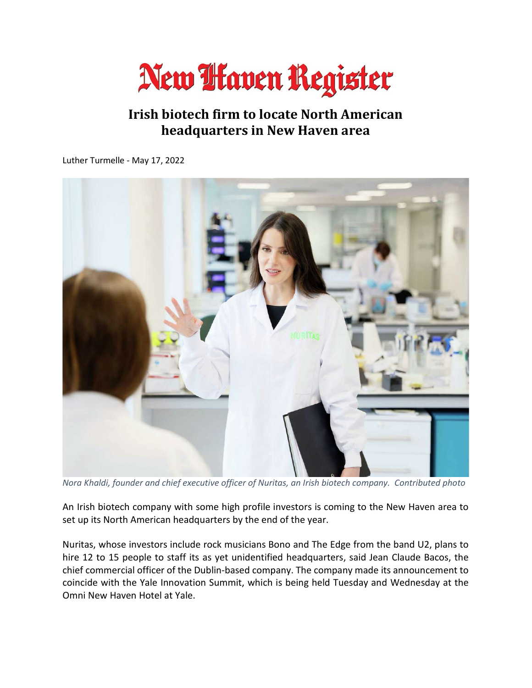

## Irish biotech firm to locate North American headquarters in New Haven area

Luther Turmelle - May 17, 2022



Nora Khaldi, founder and chief executive officer of Nuritas, an Irish biotech company. Contributed photo

An Irish biotech company with some high profile investors is coming to the New Haven area to set up its North American headquarters by the end of the year.

Nuritas, whose investors include rock musicians Bono and The Edge from the band U2, plans to hire 12 to 15 people to staff its as yet unidentified headquarters, said Jean Claude Bacos, the chief commercial officer of the Dublin-based company. The company made its announcement to coincide with the Yale Innovation Summit, which is being held Tuesday and Wednesday at the Omni New Haven Hotel at Yale.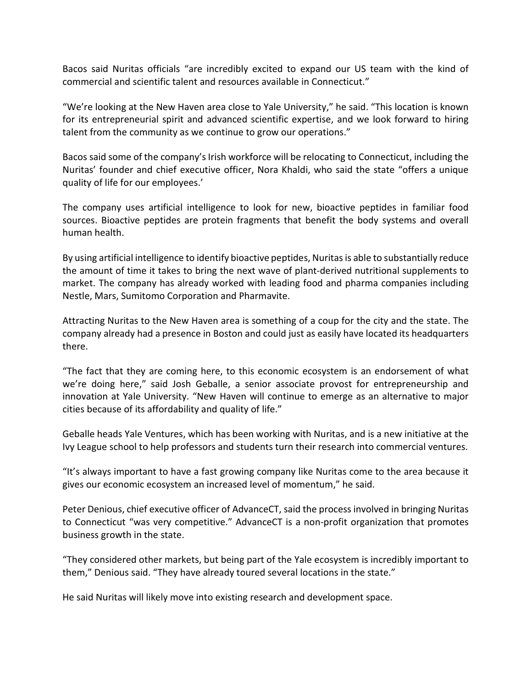Bacos said Nuritas officials "are incredibly excited to expand our US team with the kind of commercial and scientific talent and resources available in Connecticut."

"We're looking at the New Haven area close to Yale University," he said. "This location is known for its entrepreneurial spirit and advanced scientific expertise, and we look forward to hiring talent from the community as we continue to grow our operations."

Bacos said some of the company's Irish workforce will be relocating to Connecticut, including the Nuritas' founder and chief executive officer, Nora Khaldi, who said the state "offers a unique quality of life for our employees.'

The company uses artificial intelligence to look for new, bioactive peptides in familiar food sources. Bioactive peptides are protein fragments that benefit the body systems and overall human health.

By using artificial intelligence to identify bioactive peptides, Nuritas is able to substantially reduce the amount of time it takes to bring the next wave of plant-derived nutritional supplements to market. The company has already worked with leading food and pharma companies including Nestle, Mars, Sumitomo Corporation and Pharmavite.

Attracting Nuritas to the New Haven area is something of a coup for the city and the state. The company already had a presence in Boston and could just as easily have located its headquarters there.

"The fact that they are coming here, to this economic ecosystem is an endorsement of what we're doing here," said Josh Geballe, a senior associate provost for entrepreneurship and innovation at Yale University. "New Haven will continue to emerge as an alternative to major cities because of its affordability and quality of life."

Geballe heads Yale Ventures, which has been working with Nuritas, and is a new initiative at the Ivy League school to help professors and students turn their research into commercial ventures.

"It's always important to have a fast growing company like Nuritas come to the area because it gives our economic ecosystem an increased level of momentum," he said.

Peter Denious, chief executive officer of AdvanceCT, said the process involved in bringing Nuritas to Connecticut "was very competitive." AdvanceCT is a non-profit organization that promotes business growth in the state.

"They considered other markets, but being part of the Yale ecosystem is incredibly important to them," Denious said. "They have already toured several locations in the state."

He said Nuritas will likely move into existing research and development space.